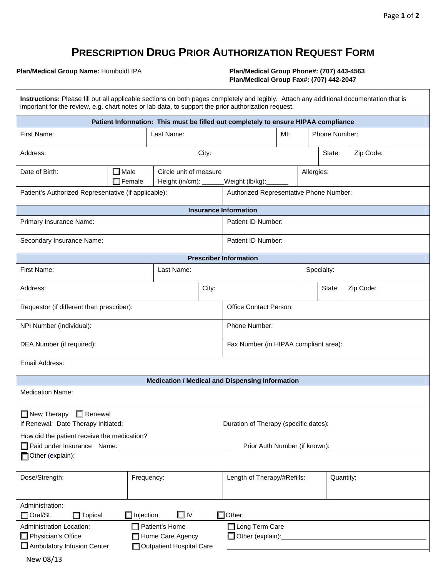## **PRESCRIPTION DRUG PRIOR AUTHORIZATION REQUEST FORM**

**Plan/Medical Group Name:** Humboldt IPA **Plan/Medical Group Phone#: (707) 443-4563 Plan/Medical Group Fax#: (707) 442-2047** 

| Instructions: Please fill out all applicable sections on both pages completely and legibly. Attach any additional documentation that is<br>important for the review, e.g. chart notes or lab data, to support the prior authorization request. |                                 |                                                         |                  |                                                        |     |  |               |                                                                                                                                                                                                                                      |
|------------------------------------------------------------------------------------------------------------------------------------------------------------------------------------------------------------------------------------------------|---------------------------------|---------------------------------------------------------|------------------|--------------------------------------------------------|-----|--|---------------|--------------------------------------------------------------------------------------------------------------------------------------------------------------------------------------------------------------------------------------|
| Patient Information: This must be filled out completely to ensure HIPAA compliance                                                                                                                                                             |                                 |                                                         |                  |                                                        |     |  |               |                                                                                                                                                                                                                                      |
| First Name:                                                                                                                                                                                                                                    | Last Name:                      |                                                         |                  |                                                        | MI: |  | Phone Number: |                                                                                                                                                                                                                                      |
| Address:                                                                                                                                                                                                                                       |                                 |                                                         | City:            |                                                        |     |  | State:        | Zip Code:                                                                                                                                                                                                                            |
| Date of Birth:                                                                                                                                                                                                                                 | $\square$ Male<br>$\Box$ Female | Circle unit of measure<br>Height (in/cm): $\frac{1}{2}$ | _Weight (lb/kg): | Allergies:                                             |     |  |               |                                                                                                                                                                                                                                      |
| Patient's Authorized Representative (if applicable):                                                                                                                                                                                           |                                 |                                                         |                  | Authorized Representative Phone Number:                |     |  |               |                                                                                                                                                                                                                                      |
|                                                                                                                                                                                                                                                |                                 |                                                         |                  | <b>Insurance Information</b>                           |     |  |               |                                                                                                                                                                                                                                      |
| Primary Insurance Name:                                                                                                                                                                                                                        |                                 |                                                         |                  | Patient ID Number:                                     |     |  |               |                                                                                                                                                                                                                                      |
| Secondary Insurance Name:                                                                                                                                                                                                                      |                                 |                                                         |                  | Patient ID Number:                                     |     |  |               |                                                                                                                                                                                                                                      |
|                                                                                                                                                                                                                                                |                                 |                                                         |                  | <b>Prescriber Information</b>                          |     |  |               |                                                                                                                                                                                                                                      |
| <b>First Name:</b>                                                                                                                                                                                                                             | Last Name:                      |                                                         |                  | Specialty:                                             |     |  |               |                                                                                                                                                                                                                                      |
| Address:                                                                                                                                                                                                                                       | City:                           |                                                         |                  | Zip Code:<br>State:                                    |     |  |               |                                                                                                                                                                                                                                      |
| Requestor (if different than prescriber):                                                                                                                                                                                                      |                                 |                                                         |                  | <b>Office Contact Person:</b>                          |     |  |               |                                                                                                                                                                                                                                      |
| NPI Number (individual):                                                                                                                                                                                                                       |                                 |                                                         |                  | Phone Number:                                          |     |  |               |                                                                                                                                                                                                                                      |
| DEA Number (if required):                                                                                                                                                                                                                      |                                 |                                                         |                  | Fax Number (in HIPAA compliant area):                  |     |  |               |                                                                                                                                                                                                                                      |
| Email Address:                                                                                                                                                                                                                                 |                                 |                                                         |                  |                                                        |     |  |               |                                                                                                                                                                                                                                      |
|                                                                                                                                                                                                                                                |                                 |                                                         |                  | <b>Medication / Medical and Dispensing Information</b> |     |  |               |                                                                                                                                                                                                                                      |
| <b>Medication Name:</b>                                                                                                                                                                                                                        |                                 |                                                         |                  |                                                        |     |  |               |                                                                                                                                                                                                                                      |
| $\Box$ Renewal<br>$\Box$ New Therapy<br>If Renewal: Date Therapy Initiated:<br>Duration of Therapy (specific dates):                                                                                                                           |                                 |                                                         |                  |                                                        |     |  |               |                                                                                                                                                                                                                                      |
| How did the patient receive the medication?                                                                                                                                                                                                    |                                 |                                                         |                  |                                                        |     |  |               |                                                                                                                                                                                                                                      |
| Paid under Insurance Name: 1997 Manual Paid under Insurance Name:<br>Prior Auth Number (if known): Notified the material control of the material control of the material control of                                                            |                                 |                                                         |                  |                                                        |     |  |               |                                                                                                                                                                                                                                      |
| Other (explain):                                                                                                                                                                                                                               |                                 |                                                         |                  |                                                        |     |  |               |                                                                                                                                                                                                                                      |
| Dose/Strength:                                                                                                                                                                                                                                 | Frequency:                      |                                                         |                  | Length of Therapy/#Refills:                            |     |  | Quantity:     |                                                                                                                                                                                                                                      |
|                                                                                                                                                                                                                                                |                                 |                                                         |                  |                                                        |     |  |               |                                                                                                                                                                                                                                      |
| Administration:<br>□I∨<br>$\Box$ Other:<br>$\Box$ Oral/SL<br>$\Box$ Injection<br>$\Box$ Topical                                                                                                                                                |                                 |                                                         |                  |                                                        |     |  |               |                                                                                                                                                                                                                                      |
| $\Box$ Patient's Home<br>Administration Location:                                                                                                                                                                                              |                                 |                                                         | Long Term Care   |                                                        |     |  |               |                                                                                                                                                                                                                                      |
| $\Box$ Physician's Office<br>Home Care Agency                                                                                                                                                                                                  |                                 |                                                         |                  | □ Other (explain):                                     |     |  |               | <u>and the state of the state of the state of the state of the state of the state of the state of the state of the state of the state of the state of the state of the state of the state of the state of the state of the state</u> |
| Ambulatory Infusion Center<br>Outpatient Hospital Care                                                                                                                                                                                         |                                 |                                                         |                  |                                                        |     |  |               |                                                                                                                                                                                                                                      |